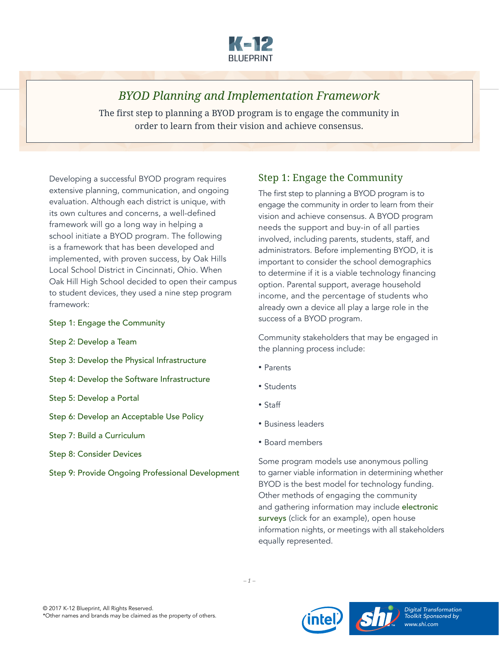

# *BYOD Planning and Implementation Framework*

The first step to planning a BYOD program is to engage the community in order to learn from their vision and achieve consensus.

Developing a successful BYOD program requires extensive planning, communication, and ongoing evaluation. Although each district is unique, with its own cultures and concerns, a well-defined framework will go a long way in helping a school initiate a BYOD program. The following is a framework that has been developed and implemented, with proven success, by Oak Hills Local School District in Cincinnati, Ohio. When Oak Hill High School decided to open their campus to student devices, they used a nine step program framework:

- [Step 1: Engage the Community](#page-0-0)
- [Step 2: Develop a Team](#page-1-0)
- [Step 3: Develop the Physical Infrastructure](#page-2-0)
- [Step 4: Develop the Software Infrastructure](#page-3-0)
- [Step 5: Develop a Portal](#page-4-0)
- [Step 6: Develop an Acceptable Use Policy](#page-4-1)
- [Step 7: Build a Curriculum](#page-6-0)
- [Step 8: Consider Devices](#page-7-0)
- [Step 9: Provide Ongoing Professional Development](#page-9-0)

## <span id="page-0-0"></span>Step 1: Engage the Community

The first step to planning a BYOD program is to engage the community in order to learn from their vision and achieve consensus. A BYOD program needs the support and buy-in of all parties involved, including parents, students, staff, and administrators. Before implementing BYOD, it is important to consider the school demographics to determine if it is a viable technology financing option. Parental support, average household income, and the percentage of students who already own a device all play a large role in the success of a BYOD program.

Community stakeholders that may be engaged in the planning process include:

- Parents
- Students
- Staff
- Business leaders
- Board members

Some program models use anonymous polling to garner viable information in determining whether BYOD is the best model for technology funding. Other methods of engaging the community and gathering information may include [electronic](http://www.surveymonkey.com/s/RS879DG)  [surveys](http://www.surveymonkey.com/s/RS879DG) (click for an example), open house information nights, or meetings with all stakeholders equally represented.



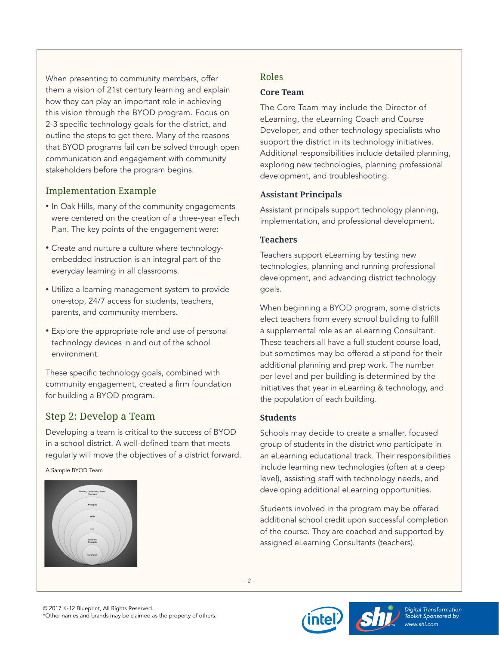When presenting to community members, offer them a vision of 21st century learning and explain how they can play an important role in achieving this vision through the BYOD program. Focus on 2-3 specific technology goals for the district, and outline the steps to get there. Many of the reasons that BYOD programs fail can be solved through open communication and engagement with community stakeholders before the program begins.

### Implementation Example

- In Oak Hills, many of the community engagements were centered on the creation of a three-year eTech Plan. The key points of the engagement were:
- Create and nurture a culture where technologyembedded instruction is an integral part of the everyday learning in all classrooms.
- Utilize a learning management system to provide one-stop, 24/7 access for students, teachers, parents, and community members.
- Explore the appropriate role and use of personal technology devices in and out of the school environment.

These specific technology goals, combined with community engagement, created a firm foundation for building a BYOD program.

## <span id="page-1-0"></span>Step 2: Develop a Team

Developing a team is critical to the success of BYOD in a school district. A well-defined team that meets regularly will move the objectives of a district forward.

A Sample BYOD Team



### Roles

#### **Core Team**

The Core Team may include the Director of eLearning, the eLearning Coach and Course Developer, and other technology specialists who support the district in its technology initiatives. Additional responsibilities include detailed planning, exploring new technologies, planning professional development, and troubleshooting.

### **Assistant Principals**

Assistant principals support technology planning, implementation, and professional development.

### **Teachers**

Teachers support eLearning by testing new technologies, planning and running professional development, and advancing district technology goals.

When beginning a BYOD program, some districts elect teachers from every school building to fulfill a supplemental role as an eLearning Consultant. These teachers all have a full student course load, but sometimes may be offered a stipend for their additional planning and prep work. The number per level and per building is determined by the initiatives that year in eLearning & technology, and the population of each building.

### **Students**

Schools may decide to create a smaller, focused group of students in the district who participate in an eLearning educational track. Their responsibilities include learning new technologies (often at a deep level), assisting staff with technology needs, and developing additional eLearning opportunities.

Students involved in the program may be offered additional school credit upon successful completion of the course. They are coached and supported by assigned eLearning Consultants (teachers).



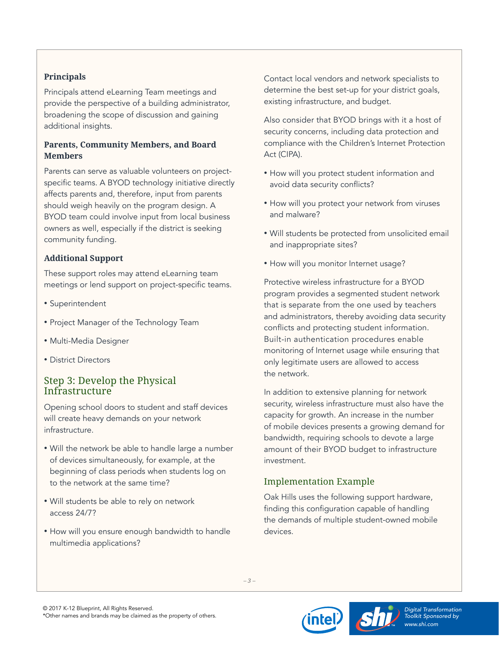### **Principals**

Principals attend eLearning Team meetings and provide the perspective of a building administrator, broadening the scope of discussion and gaining additional insights.

#### **Parents, Community Members, and Board Members**

Parents can serve as valuable volunteers on projectspecific teams. A BYOD technology initiative directly affects parents and, therefore, input from parents should weigh heavily on the program design. A BYOD team could involve input from local business owners as well, especially if the district is seeking community funding.

### **Additional Support**

These support roles may attend eLearning team meetings or lend support on project-specific teams.

- Superintendent
- Project Manager of the Technology Team
- Multi-Media Designer
- District Directors

## <span id="page-2-0"></span>Step 3: Develop the Physical Infrastructure

Opening school doors to student and staff devices will create heavy demands on your network infrastructure.

- Will the network be able to handle large a number of devices simultaneously, for example, at the beginning of class periods when students log on to the network at the same time?
- Will students be able to rely on network access 24/7?
- How will you ensure enough bandwidth to handle multimedia applications?

Contact local vendors and network specialists to determine the best set-up for your district goals, existing infrastructure, and budget.

Also consider that BYOD brings with it a host of security concerns, including data protection and compliance with the Children's Internet Protection Act (CIPA).

- How will you protect student information and avoid data security conflicts?
- How will you protect your network from viruses and malware?
- Will students be protected from unsolicited email and inappropriate sites?
- How will you monitor Internet usage?

Protective wireless infrastructure for a BYOD program provides a segmented student network that is separate from the one used by teachers and administrators, thereby avoiding data security conflicts and protecting student information. Built-in authentication procedures enable monitoring of Internet usage while ensuring that only legitimate users are allowed to access the network.

In addition to extensive planning for network security, wireless infrastructure must also have the capacity for growth. An increase in the number of mobile devices presents a growing demand for bandwidth, requiring schools to devote a large amount of their BYOD budget to infrastructure investment.

## Implementation Example

Oak Hills uses the following support hardware, finding this configuration capable of handling the demands of multiple student-owned mobile devices.

*– 3 –*



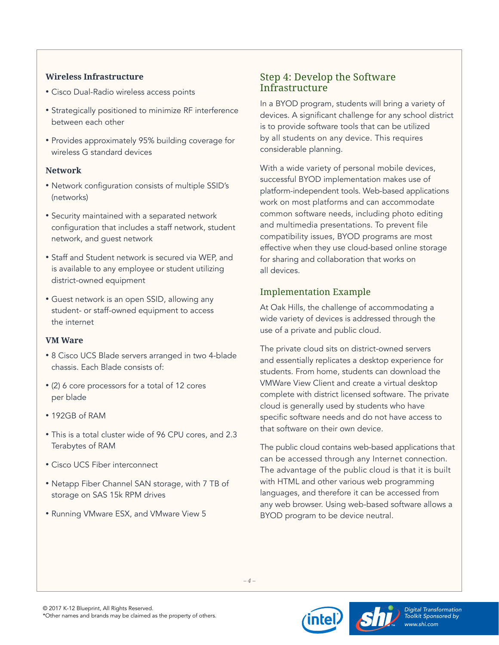#### **Wireless Infrastructure**

- Cisco Dual-Radio wireless access points
- Strategically positioned to minimize RF interference between each other
- Provides approximately 95% building coverage for wireless G standard devices

#### **Network**

- Network configuration consists of multiple SSID's (networks)
- Security maintained with a separated network configuration that includes a staff network, student network, and guest network
- Staff and Student network is secured via WEP, and is available to any employee or student utilizing district-owned equipment
- Guest network is an open SSID, allowing any student- or staff-owned equipment to access the internet

#### **VM Ware**

- 8 Cisco UCS Blade servers arranged in two 4-blade chassis. Each Blade consists of:
- (2) 6 core processors for a total of 12 cores per blade
- 192GB of RAM
- This is a total cluster wide of 96 CPU cores, and 2.3 Terabytes of RAM
- Cisco UCS Fiber interconnect
- Netapp Fiber Channel SAN storage, with 7 TB of storage on SAS 15k RPM drives
- Running VMware ESX, and VMware View 5

## <span id="page-3-0"></span>Step 4: Develop the Software Infrastructure

In a BYOD program, students will bring a variety of devices. A significant challenge for any school district is to provide software tools that can be utilized by all students on any device. This requires considerable planning.

With a wide variety of personal mobile devices, successful BYOD implementation makes use of platform-independent tools. Web-based applications work on most platforms and can accommodate common software needs, including photo editing and multimedia presentations. To prevent file compatibility issues, BYOD programs are most effective when they use cloud-based online storage for sharing and collaboration that works on all devices.

## Implementation Example

At Oak Hills, the challenge of accommodating a wide variety of devices is addressed through the use of a private and public cloud.

The private cloud sits on district-owned servers and essentially replicates a desktop experience for students. From home, students can download the VMWare View Client and create a virtual desktop complete with district licensed software. The private cloud is generally used by students who have specific software needs and do not have access to that software on their own device.

The public cloud contains web-based applications that can be accessed through any Internet connection. The advantage of the public cloud is that it is built with HTML and other various web programming languages, and therefore it can be accessed from any web browser. Using web-based software allows a BYOD program to be device neutral.



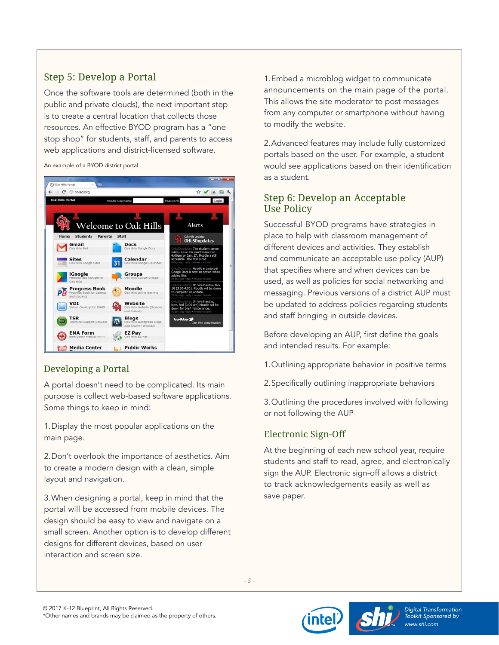# <span id="page-4-0"></span>Step 5: Develop a Portal

Once the software tools are determined (both in the public and private clouds), the next important step is to create a central location that collects those resources. An effective BYOD program has a "one stop shop" for students, staff, and parents to access web applications and district-licensed software.

An example of a BYOD district portal



## Developing a Portal

A portal doesn't need to be complicated. Its main purpose is collect web-based software applications. Some things to keep in mind:

1.Display the most popular applications on the main page.

2.Don't overlook the importance of aesthetics. Aim to create a modern design with a clean, simple layout and navigation.

3.When designing a portal, keep in mind that the portal will be accessed from mobile devices. The design should be easy to view and navigate on a small screen. Another option is to develop different designs for different devices, based on user interaction and screen size.

1.Embed a microblog widget to communicate announcements on the main page of the portal. This allows the site moderator to post messages from any computer or smartphone without having to modify the website.

2.Advanced features may include fully customized portals based on the user. For example, a student would see applications based on their identification as a student.

## <span id="page-4-1"></span>Step 6: Develop an Acceptable Use Policy

Successful BYOD programs have strategies in place to help with classroom management of different devices and activities. They establish and communicate an acceptable use policy (AUP) that specifies where and when devices can be used, as well as policies for social networking and messaging. Previous versions of a district AUP must be updated to address policies regarding students and staff bringing in outside devices.

Before developing an AUP, first define the goals and intended results. For example:

- 1.Outlining appropriate behavior in positive terms
- 2.Specifically outlining inappropriate behaviors
- 3.Outlining the procedures involved with following or not following the AUP

## Electronic Sign-Off

At the beginning of each new school year, require students and staff to read, agree, and electronically sign the AUP. Electronic sign-off allows a district to track acknowledgements easily as well as save paper.

*– 5 –*



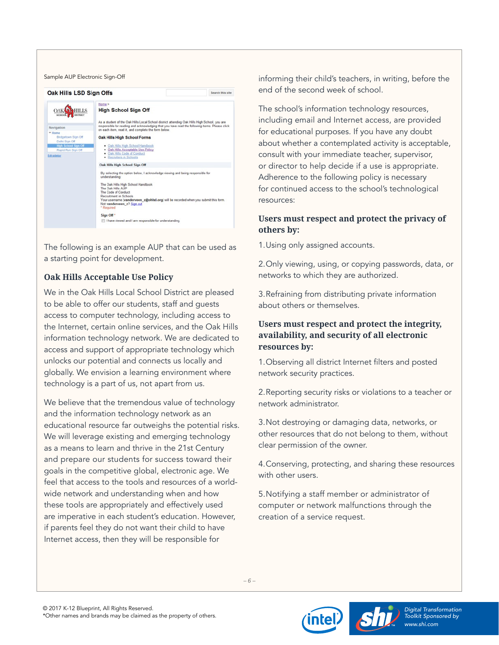| Oak Hills LSD Sign Offs                                                                                                                                           |                                                                                                                                                                                                                                                                                                                                                                                                                                                                                                | Search this site |
|-------------------------------------------------------------------------------------------------------------------------------------------------------------------|------------------------------------------------------------------------------------------------------------------------------------------------------------------------------------------------------------------------------------------------------------------------------------------------------------------------------------------------------------------------------------------------------------------------------------------------------------------------------------------------|------------------|
| <b>HILLS</b><br>DISTRICT<br><b>SCHOOL</b><br>Navigation<br>$=$ Home<br>Bridgetown Sign Off<br>Delhi Sign Off<br><b>High School Sign Off</b><br>Rapid Run Sign Off | Home ><br><b>High School Sign Off</b><br>As a student of the Oak Hills Local School district attending Oak Hills High School, you are<br>responsible for reading and acknowledging that you have read the following items. Please click<br>on each item, read it, and complete the form below.<br><b>Oak Hills High School Forms</b><br>. Oak Hills High School Handbook<br>· Oak Hills Acceptable Use Policy<br>Oak Hills Code of Conduct<br>٠                                                |                  |
| Edit aidebar                                                                                                                                                      | · Recruiters in Schools<br>Oak Hills High School Sign Off<br>By selecting the option below, I acknowledge viewing and being responsible for<br>understanding:<br>The Oak Hills High School Handbook<br>The Oak Hills AUP<br>The Code of Conduct<br>Recruitment in Schools<br>Your username (vanderveen_z@ohlsd.org) will be recorded when you submit this form.<br>Not vanderveen z? Sign out<br>* Required<br>Sign Off <sup>*</sup><br>Il have viewed and I am responsible for understanding. |                  |

The following is an example AUP that can be used as a starting point for development.

### **Oak Hills Acceptable Use Policy**

We in the Oak Hills Local School District are pleased to be able to offer our students, staff and guests access to computer technology, including access to the Internet, certain online services, and the Oak Hills information technology network. We are dedicated to access and support of appropriate technology which unlocks our potential and connects us locally and globally. We envision a learning environment where technology is a part of us, not apart from us.

We believe that the tremendous value of technology and the information technology network as an educational resource far outweighs the potential risks. We will leverage existing and emerging technology as a means to learn and thrive in the 21st Century and prepare our students for success toward their goals in the competitive global, electronic age. We feel that access to the tools and resources of a worldwide network and understanding when and how these tools are appropriately and effectively used are imperative in each student's education. However, if parents feel they do not want their child to have Internet access, then they will be responsible for

informing their child's teachers, in writing, before the end of the second week of school.

The school's information technology resources, including email and Internet access, are provided for educational purposes. If you have any doubt about whether a contemplated activity is acceptable, consult with your immediate teacher, supervisor, or director to help decide if a use is appropriate. Adherence to the following policy is necessary for continued access to the school's technological resources:

#### **Users must respect and protect the privacy of others by:**

1.Using only assigned accounts.

2.Only viewing, using, or copying passwords, data, or networks to which they are authorized.

3.Refraining from distributing private information about others or themselves.

#### **Users must respect and protect the integrity, availability, and security of all electronic resources by:**

1.Observing all district Internet filters and posted network security practices.

2.Reporting security risks or violations to a teacher or network administrator.

3.Not destroying or damaging data, networks, or other resources that do not belong to them, without clear permission of the owner.

4.Conserving, protecting, and sharing these resources with other users.

5.Notifying a staff member or administrator of computer or network malfunctions through the creation of a service request.

*– 6 –*



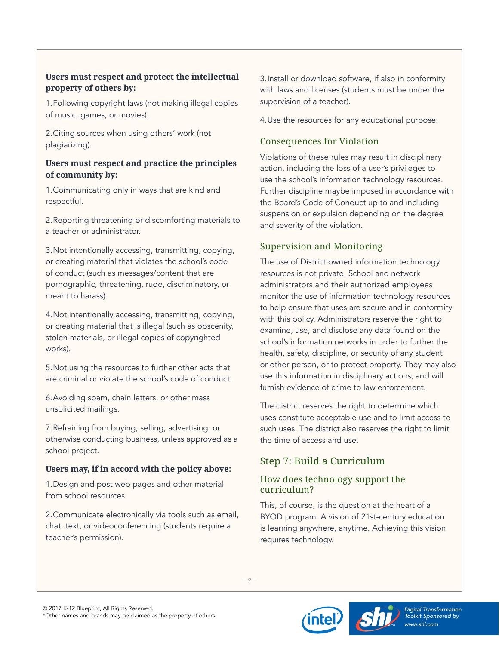### **Users must respect and protect the intellectual property of others by:**

1.Following copyright laws (not making illegal copies of music, games, or movies).

2.Citing sources when using others' work (not plagiarizing).

#### **Users must respect and practice the principles of community by:**

1.Communicating only in ways that are kind and respectful.

2.Reporting threatening or discomforting materials to a teacher or administrator.

3.Not intentionally accessing, transmitting, copying, or creating material that violates the school's code of conduct (such as messages/content that are pornographic, threatening, rude, discriminatory, or meant to harass).

4.Not intentionally accessing, transmitting, copying, or creating material that is illegal (such as obscenity, stolen materials, or illegal copies of copyrighted works).

5.Not using the resources to further other acts that are criminal or violate the school's code of conduct.

6.Avoiding spam, chain letters, or other mass unsolicited mailings.

7.Refraining from buying, selling, advertising, or otherwise conducting business, unless approved as a school project.

#### **Users may, if in accord with the policy above:**

1.Design and post web pages and other material from school resources.

2.Communicate electronically via tools such as email, chat, text, or videoconferencing (students require a teacher's permission).

3.Install or download software, if also in conformity with laws and licenses (students must be under the supervision of a teacher).

4.Use the resources for any educational purpose.

## Consequences for Violation

Violations of these rules may result in disciplinary action, including the loss of a user's privileges to use the school's information technology resources. Further discipline maybe imposed in accordance with the Board's Code of Conduct up to and including suspension or expulsion depending on the degree and severity of the violation.

## Supervision and Monitoring

The use of District owned information technology resources is not private. School and network administrators and their authorized employees monitor the use of information technology resources to help ensure that uses are secure and in conformity with this policy. Administrators reserve the right to examine, use, and disclose any data found on the school's information networks in order to further the health, safety, discipline, or security of any student or other person, or to protect property. They may also use this information in disciplinary actions, and will furnish evidence of crime to law enforcement.

The district reserves the right to determine which uses constitute acceptable use and to limit access to such uses. The district also reserves the right to limit the time of access and use.

# <span id="page-6-0"></span>Step 7: Build a Curriculum

### How does technology support the curriculum?

This, of course, is the question at the heart of a BYOD program. A vision of 21st-century education is learning anywhere, anytime. Achieving this vision requires technology.





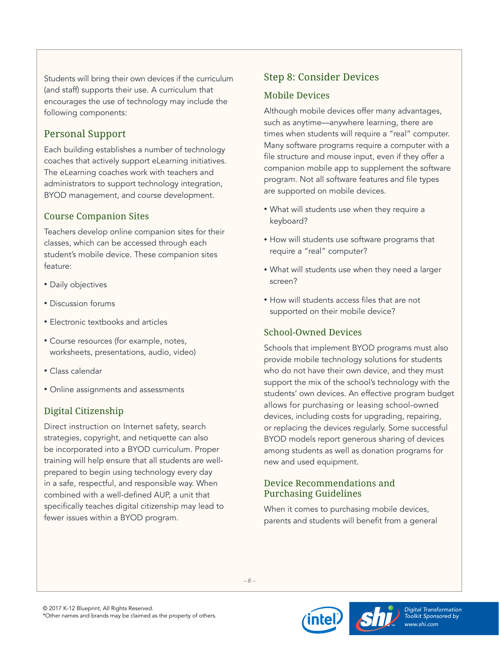Students will bring their own devices if the curriculum (and staff) supports their use. A curriculum that encourages the use of technology may include the following components:

## Personal Support

Each building establishes a number of technology coaches that actively support eLearning initiatives. The eLearning coaches work with teachers and administrators to support technology integration, BYOD management, and course development.

## Course Companion Sites

Teachers develop online companion sites for their classes, which can be accessed through each student's mobile device. These companion sites feature:

- Daily objectives
- Discussion forums
- Electronic textbooks and articles
- Course resources (for example, notes, worksheets, presentations, audio, video)
- Class calendar
- Online assignments and assessments

## Digital Citizenship

Direct instruction on Internet safety, search strategies, copyright, and netiquette can also be incorporated into a BYOD curriculum. Proper training will help ensure that all students are wellprepared to begin using technology every day in a safe, respectful, and responsible way. When combined with a well-defined AUP, a unit that specifically teaches digital citizenship may lead to fewer issues within a BYOD program.

## <span id="page-7-0"></span>Step 8: Consider Devices

### Mobile Devices

Although mobile devices offer many advantages, such as anytime—anywhere learning, there are times when students will require a "real" computer. Many software programs require a computer with a file structure and mouse input, even if they offer a companion mobile app to supplement the software program. Not all software features and file types are supported on mobile devices.

- What will students use when they require a keyboard?
- How will students use software programs that require a "real" computer?
- What will students use when they need a larger screen?
- How will students access files that are not supported on their mobile device?

## School-Owned Devices

Schools that implement BYOD programs must also provide mobile technology solutions for students who do not have their own device, and they must support the mix of the school's technology with the students' own devices. An effective program budget allows for purchasing or leasing school-owned devices, including costs for upgrading, repairing, or replacing the devices regularly. Some successful BYOD models report generous sharing of devices among students as well as donation programs for new and used equipment.

## Device Recommendations and Purchasing Guidelines

When it comes to purchasing mobile devices, parents and students will benefit from a general



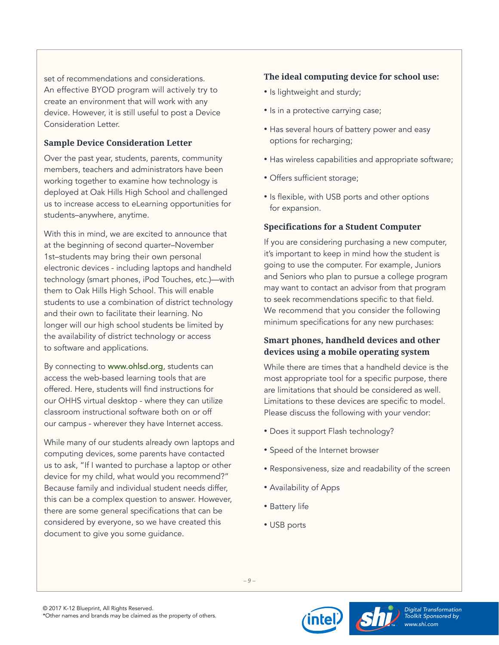set of recommendations and considerations. An effective BYOD program will actively try to create an environment that will work with any device. However, it is still useful to post a Device Consideration Letter.

#### **Sample Device Consideration Letter**

Over the past year, students, parents, community members, teachers and administrators have been working together to examine how technology is deployed at Oak Hills High School and challenged us to increase access to eLearning opportunities for students–anywhere, anytime.

With this in mind, we are excited to announce that at the beginning of second quarter–November 1st–students may bring their own personal electronic devices - including laptops and handheld technology (smart phones, iPod Touches, etc.)—with them to Oak Hills High School. This will enable students to use a combination of district technology and their own to facilitate their learning. No longer will our high school students be limited by the availability of district technology or access to software and applications.

By connecting to [www.ohlsd.org](http://www.ohlsd.org/), students can access the web-based learning tools that are offered. Here, students will find instructions for our OHHS virtual desktop - where they can utilize classroom instructional software both on or off our campus - wherever they have Internet access.

While many of our students already own laptops and computing devices, some parents have contacted us to ask, "If I wanted to purchase a laptop or other device for my child, what would you recommend?" Because family and individual student needs differ, this can be a complex question to answer. However, there are some general specifications that can be considered by everyone, so we have created this document to give you some guidance.

### **The ideal computing device for school use:**

- Is lightweight and sturdy;
- Is in a protective carrying case;
- Has several hours of battery power and easy options for recharging;
- Has wireless capabilities and appropriate software;
- Offers sufficient storage;
- Is flexible, with USB ports and other options for expansion.

#### **Specifications for a Student Computer**

If you are considering purchasing a new computer, it's important to keep in mind how the student is going to use the computer. For example, Juniors and Seniors who plan to pursue a college program may want to contact an advisor from that program to seek recommendations specific to that field. We recommend that you consider the following minimum specifications for any new purchases:

### **Smart phones, handheld devices and other devices using a mobile operating system**

While there are times that a handheld device is the most appropriate tool for a specific purpose, there are limitations that should be considered as well. Limitations to these devices are specific to model. Please discuss the following with your vendor:

- Does it support Flash technology?
- Speed of the Internet browser
- Responsiveness, size and readability of the screen
- Availability of Apps
- Battery life
- USB ports